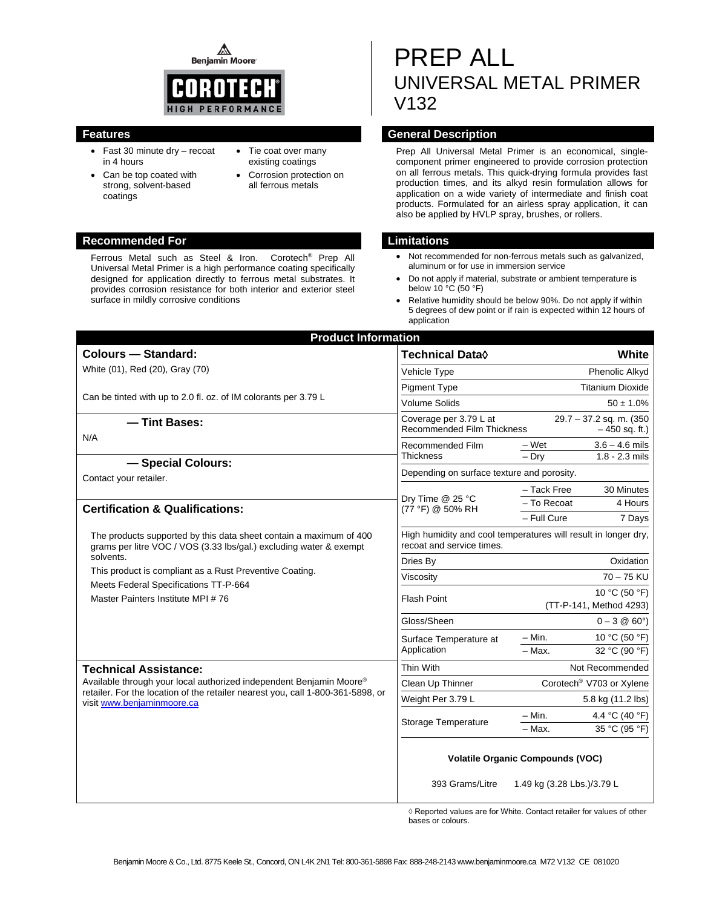⚠ **Benjamin Moore** 



- Fast 30 minute dry recoat in 4 hours
- Can be top coated with strong, solvent-based coatings
- Tie coat over many existing coatings
- Corrosion protection on all ferrous metals

#### **Recommended For Limitations**

Ferrous Metal such as Steel & Iron. Corotech® Prep All Universal Metal Primer is a high performance coating specifically designed for application directly to ferrous metal substrates. It provides corrosion resistance for both interior and exterior steel surface in mildly corrosive conditions

# PREP ALL UNIVERSAL METAL PRIMER V132

### **Features General Description**

Prep All Universal Metal Primer is an economical, singlecomponent primer engineered to provide corrosion protection on all ferrous metals. This quick-drying formula provides fast production times, and its alkyd resin formulation allows for application on a wide variety of intermediate and finish coat products. Formulated for an airless spray application, it can also be applied by HVLP spray, brushes, or rollers.

- Not recommended for non-ferrous metals such as galvanized, aluminum or for use in immersion service
- Do not apply if material, substrate or ambient temperature is below 10 °C (50 °F)
- Relative humidity should be below 90%. Do not apply if within 5 degrees of dew point or if rain is expected within 12 hours of application

| <b>Product Information</b>                                                                                                                                                                                           |                                                                                             |                                            |                  |  |  |  |
|----------------------------------------------------------------------------------------------------------------------------------------------------------------------------------------------------------------------|---------------------------------------------------------------------------------------------|--------------------------------------------|------------------|--|--|--|
| <b>Colours - Standard:</b>                                                                                                                                                                                           | Technical Data◊                                                                             |                                            | White            |  |  |  |
| White (01), Red (20), Gray (70)                                                                                                                                                                                      | Vehicle Type                                                                                | Phenolic Alkyd                             |                  |  |  |  |
|                                                                                                                                                                                                                      | <b>Pigment Type</b>                                                                         | <b>Titanium Dioxide</b>                    |                  |  |  |  |
| Can be tinted with up to 2.0 fl. oz. of IM colorants per 3.79 L                                                                                                                                                      | <b>Volume Solids</b>                                                                        | $50 \pm 1.0\%$                             |                  |  |  |  |
| - Tint Bases:                                                                                                                                                                                                        | <b>Recommended Film Thickness</b>                                                           | 29.7 - 37.2 sq. m. (350<br>$-450$ sq. ft.) |                  |  |  |  |
| N/A                                                                                                                                                                                                                  | Recommended Film<br>Thickness                                                               | – Wet                                      | $3.6 - 4.6$ mils |  |  |  |
| - Special Colours:<br>Contact your retailer.                                                                                                                                                                         |                                                                                             | $-$ Drv                                    | $1.8 - 2.3$ mils |  |  |  |
|                                                                                                                                                                                                                      | Depending on surface texture and porosity.                                                  |                                            |                  |  |  |  |
|                                                                                                                                                                                                                      | Dry Time @ 25 °C<br>(77 °F) @ 50% RH                                                        | – Tack Free                                | 30 Minutes       |  |  |  |
| <b>Certification &amp; Qualifications:</b>                                                                                                                                                                           |                                                                                             | - To Recoat                                | 4 Hours          |  |  |  |
|                                                                                                                                                                                                                      |                                                                                             | - Full Cure                                | 7 Days           |  |  |  |
| The products supported by this data sheet contain a maximum of 400<br>grams per litre VOC / VOS (3.33 lbs/gal.) excluding water & exempt<br>solvents.<br>This product is compliant as a Rust Preventive Coating.     | High humidity and cool temperatures will result in longer dry,<br>recoat and service times. |                                            |                  |  |  |  |
|                                                                                                                                                                                                                      | Dries By                                                                                    | Oxidation                                  |                  |  |  |  |
|                                                                                                                                                                                                                      | Viscosity                                                                                   | $70 - 75$ KU                               |                  |  |  |  |
| Meets Federal Specifications TT-P-664                                                                                                                                                                                | <b>Flash Point</b>                                                                          | 10 °C (50 °F)                              |                  |  |  |  |
| Master Painters Institute MPI #76                                                                                                                                                                                    | (TT-P-141, Method 4293)                                                                     |                                            |                  |  |  |  |
|                                                                                                                                                                                                                      | Gloss/Sheen                                                                                 | $0 - 3 \circledcirc 60^{\circ}$            |                  |  |  |  |
|                                                                                                                                                                                                                      | Surface Temperature at<br>Application                                                       | – Min.                                     | 10 °C (50 °F)    |  |  |  |
|                                                                                                                                                                                                                      |                                                                                             | - Max.                                     | 32 °C (90 °F)    |  |  |  |
| <b>Technical Assistance:</b><br>Available through your local authorized independent Benjamin Moore®<br>retailer. For the location of the retailer nearest you, call 1-800-361-5898, or<br>visit www.benjaminmoore.ca | Thin With                                                                                   | Not Recommended                            |                  |  |  |  |
|                                                                                                                                                                                                                      | Clean Up Thinner                                                                            | Corotech <sup>®</sup> V703 or Xylene       |                  |  |  |  |
|                                                                                                                                                                                                                      | Weight Per 3.79 L                                                                           | 5.8 kg (11.2 lbs)                          |                  |  |  |  |
|                                                                                                                                                                                                                      | Storage Temperature                                                                         | – Min.                                     | 4.4 °C (40 °F)   |  |  |  |
|                                                                                                                                                                                                                      |                                                                                             | - Max.                                     | 35 °C (95 °F)    |  |  |  |
|                                                                                                                                                                                                                      | <b>Volatile Organic Compounds (VOC)</b>                                                     |                                            |                  |  |  |  |
|                                                                                                                                                                                                                      | 393 Grams/Litre                                                                             | 1.49 kg (3.28 Lbs.)/3.79 L                 |                  |  |  |  |

◊ Reported values are for White. Contact retailer for values of other bases or colours.